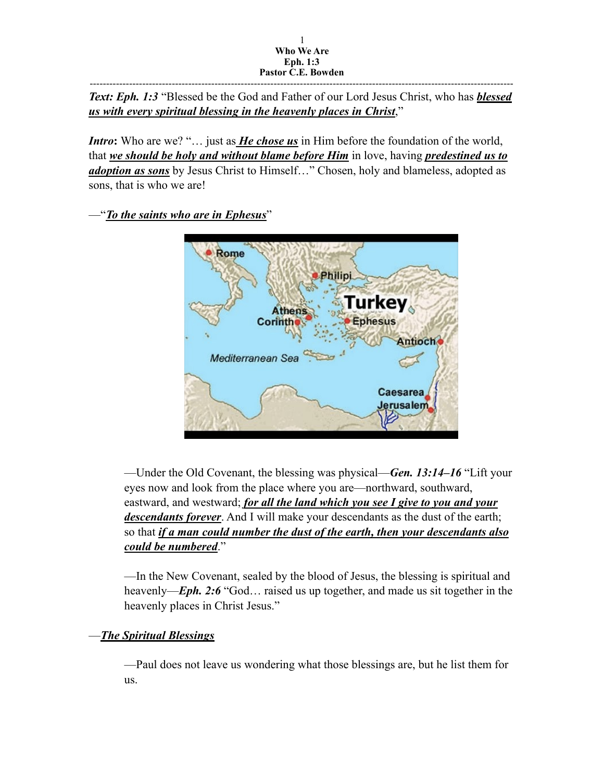*Text: Eph. 1:3* "Blessed be the God and Father of our Lord Jesus Christ, who has *blessed us with every spiritual blessing in the heavenly places in Christ*,"

*Intro*: Who are we? "... just as *He chose us* in Him before the foundation of the world, that *we should be holy and without blame before Him* in love, having *predestined us to adoption as sons* by Jesus Christ to Himself…" Chosen, holy and blameless, adopted as sons, that is who we are!

—"*To the saints who are in Ephesus*"



—Under the Old Covenant, the blessing was physical—*Gen. 13:14–16* "Lift your eyes now and look from the place where you are—northward, southward, eastward, and westward; *for all the land which you see I give to you and your descendants forever*. And I will make your descendants as the dust of the earth; so that *if a man could number the dust of the earth, then your descendants also could be numbered*."

—In the New Covenant, sealed by the blood of Jesus, the blessing is spiritual and heavenly—*Eph. 2:6* "God… raised us up together, and made us sit together in the heavenly places in Christ Jesus."

# —*The Spiritual Blessings*

—Paul does not leave us wondering what those blessings are, but he list them for us.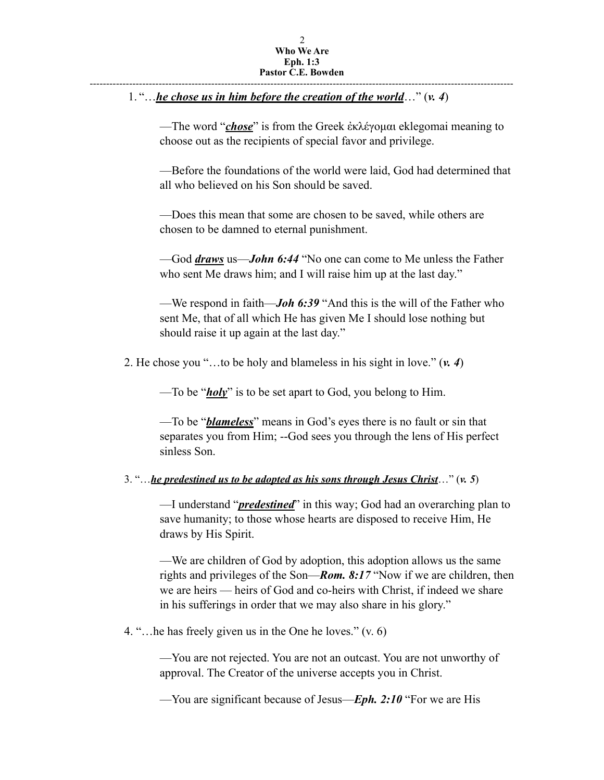#### 1. "…*he chose us in him before the creation of the world*…" (*v. 4*)

—The word "*chose*" is from the Greek ἐκλέγοµαι eklegomai meaning to choose out as the recipients of special favor and privilege.

—Before the foundations of the world were laid, God had determined that all who believed on his Son should be saved.

—Does this mean that some are chosen to be saved, while others are chosen to be damned to eternal punishment.

—God *draws* us—*John 6:44* "No one can come to Me unless the Father who sent Me draws him; and I will raise him up at the last day."

—We respond in faith—*Joh 6:39* "And this is the will of the Father who sent Me, that of all which He has given Me I should lose nothing but should raise it up again at the last day."

2. He chose you "…to be holy and blameless in his sight in love." (*v. 4*)

—To be "*holy*" is to be set apart to God, you belong to Him.

—To be "*blameless*" means in God's eyes there is no fault or sin that separates you from Him; --God sees you through the lens of His perfect sinless Son.

#### 3. "…*he predestined us to be adopted as his sons through Jesus Christ*…" (*v. 5*)

—I understand "*predestined*" in this way; God had an overarching plan to save humanity; to those whose hearts are disposed to receive Him, He draws by His Spirit.

—We are children of God by adoption, this adoption allows us the same rights and privileges of the Son—*Rom. 8:17* "Now if we are children, then we are heirs — heirs of God and co-heirs with Christ, if indeed we share in his sufferings in order that we may also share in his glory."

4. "…he has freely given us in the One he loves." (v. 6)

—You are not rejected. You are not an outcast. You are not unworthy of approval. The Creator of the universe accepts you in Christ.

—You are significant because of Jesus—*Eph. 2:10* "For we are His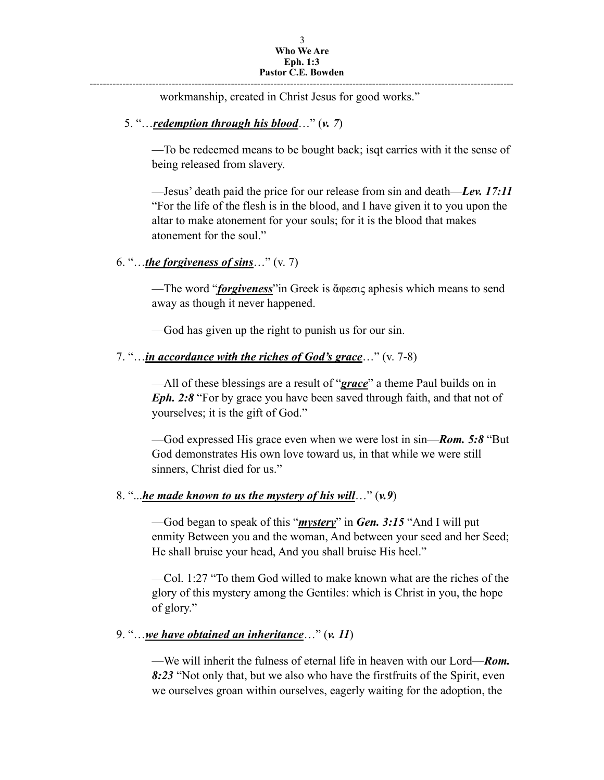---------------------------------------------------------------------------------------------------------------------------------

workmanship, created in Christ Jesus for good works."

5. "…*redemption through his blood*…" (*v. 7*)

—To be redeemed means to be bought back; isqt carries with it the sense of being released from slavery.

—Jesus' death paid the price for our release from sin and death—*Lev. 17:11* "For the life of the flesh is in the blood, and I have given it to you upon the altar to make atonement for your souls; for it is the blood that makes atonement for the soul."

## 6. "…*the forgiveness of sins*…" (v. 7)

—The word "*forgiveness*"in Greek is ἄφεσις aphesis which means to send away as though it never happened.

—God has given up the right to punish us for our sin.

7. "…*in accordance with the riches of God's grace*…" (v. 7-8)

—All of these blessings are a result of "*grace*" a theme Paul builds on in *Eph. 2:8* "For by grace you have been saved through faith, and that not of yourselves; it is the gift of God."

—God expressed His grace even when we were lost in sin—*Rom. 5:8* "But God demonstrates His own love toward us, in that while we were still sinners, Christ died for us."

## 8. "...*he made known to us the mystery of his will*…" (*v.9*)

—God began to speak of this "*mystery*" in *Gen. 3:15* "And I will put enmity Between you and the woman, And between your seed and her Seed; He shall bruise your head, And you shall bruise His heel."

—Col. 1:27 "To them God willed to make known what are the riches of the glory of this mystery among the Gentiles: which is Christ in you, the hope of glory."

## 9. "…*we have obtained an inheritance*…" (*v. 11*)

—We will inherit the fulness of eternal life in heaven with our Lord—*Rom. 8:23* "Not only that, but we also who have the firstfruits of the Spirit, even we ourselves groan within ourselves, eagerly waiting for the adoption, the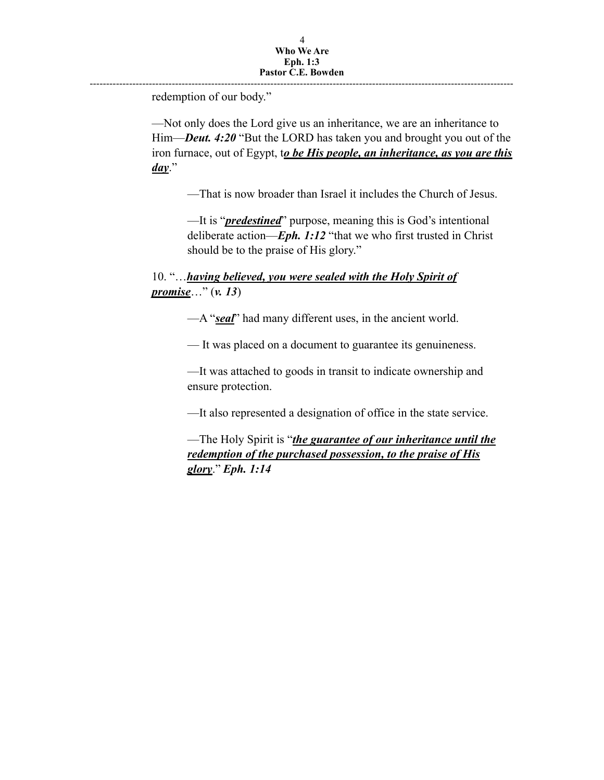---------------------------------------------------------------------------------------------------------------------------------

redemption of our body."

—Not only does the Lord give us an inheritance, we are an inheritance to Him—*Deut. 4:20* "But the LORD has taken you and brought you out of the iron furnace, out of Egypt, t*o be His people, an inheritance, as you are this*   $day$ ."

—That is now broader than Israel it includes the Church of Jesus.

—It is "*predestined*" purpose, meaning this is God's intentional deliberate action—*Eph. 1:12* "that we who first trusted in Christ should be to the praise of His glory."

10. "…*having believed, you were sealed with the Holy Spirit of promise*…" (*v. 13*)

—A "*seal*" had many different uses, in the ancient world.

— It was placed on a document to guarantee its genuineness.

—It was attached to goods in transit to indicate ownership and ensure protection.

—It also represented a designation of office in the state service.

—The Holy Spirit is "*the guarantee of our inheritance until the redemption of the purchased possession, to the praise of His glory*." *Eph. 1:14*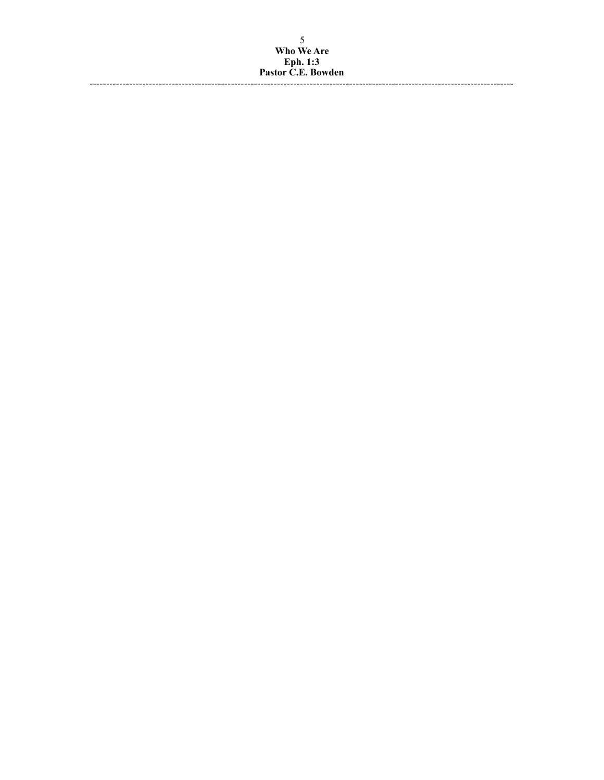<sup>5</sup><br>Who We Are<br>Eph. 1:3<br>Pastor C.E. Bowden

----------------------------------